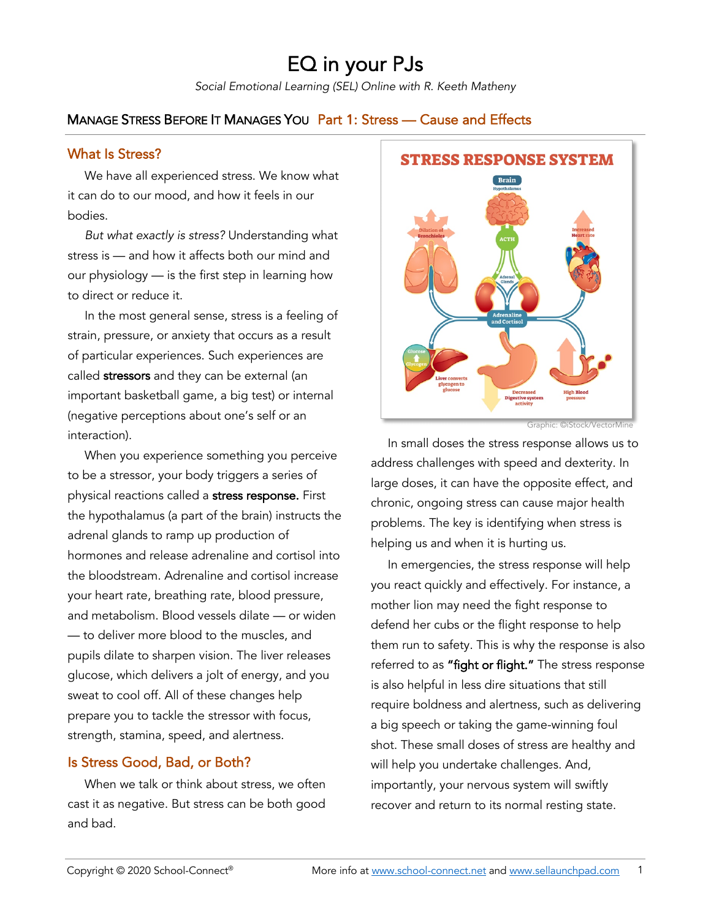# EQ in your PJs

Social Emotional Learning (SEL) Online with R. Keeth Matheny

## MANAGE STRESS BEFORE IT MANAGES YOU Part 1: Stress — Cause and Effects

#### What Is Stress?

 We have all experienced stress. We know what it can do to our mood, and how it feels in our bodies.

 But what exactly is stress? Understanding what stress is — and how it affects both our mind and our physiology — is the first step in learning how to direct or reduce it.

 In the most general sense, stress is a feeling of strain, pressure, or anxiety that occurs as a result of particular experiences. Such experiences are called stressors and they can be external (an important basketball game, a big test) or internal (negative perceptions about one's self or an interaction).

 When you experience something you perceive to be a stressor, your body triggers a series of physical reactions called a stress response. First the hypothalamus (a part of the brain) instructs the adrenal glands to ramp up production of hormones and release adrenaline and cortisol into the bloodstream. Adrenaline and cortisol increase your heart rate, breathing rate, blood pressure, and metabolism. Blood vessels dilate — or widen — to deliver more blood to the muscles, and pupils dilate to sharpen vision. The liver releases glucose, which delivers a jolt of energy, and you sweat to cool off. All of these changes help prepare you to tackle the stressor with focus, strength, stamina, speed, and alertness.

### Is Stress Good, Bad, or Both?

 When we talk or think about stress, we often cast it as negative. But stress can be both good and bad.



Graphic: ©iStock/VectorMine

 In small doses the stress response allows us to address challenges with speed and dexterity. In large doses, it can have the opposite effect, and chronic, ongoing stress can cause major health problems. The key is identifying when stress is helping us and when it is hurting us.

 In emergencies, the stress response will help you react quickly and effectively. For instance, a mother lion may need the fight response to defend her cubs or the flight response to help them run to safety. This is why the response is also referred to as "fight or flight." The stress response is also helpful in less dire situations that still require boldness and alertness, such as delivering a big speech or taking the game-winning foul shot. These small doses of stress are healthy and will help you undertake challenges. And, importantly, your nervous system will swiftly recover and return to its normal resting state.